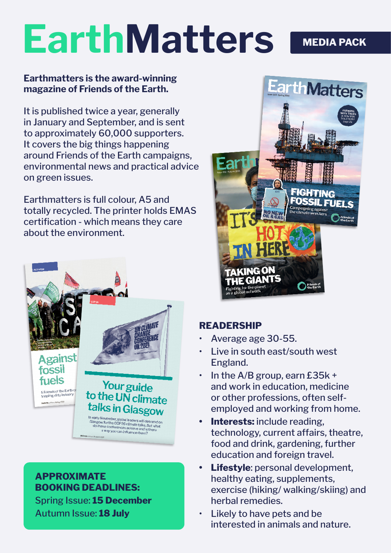# **EarthMatters MEDIA PACK**

#### **Earthmatters is the award-winning magazine of Friends of the Earth.**

It is published twice a year, generally in January and September, and is sent to approximately 60,000 supporters. It covers the big things happening around Friends of the Earth campaigns, environmental news and practical advice on green issues.

Earthmatters is full colour, A5 and totally recycled. The printer holds EMAS certification - which means they care about the environment.



## **APPROXIMATE BOOKING DEADLINES:**

Spring Issue: **15 December** Autumn Issue: **18 July**



# **READERSHIP**

- Average age 30-55.
- Live in south east/south west England.
- $\cdot$  In the A/B group, earn £35k + and work in education, medicine or other professions, often selfemployed and working from home.
- **• Interests:** include reading, technology, current affairs, theatre, food and drink, gardening, further education and foreign travel.
- **• Lifestyle**: personal development, healthy eating, supplements, exercise (hiking/ walking/skiing) and herbal remedies.
- Likely to have pets and be interested in animals and nature.